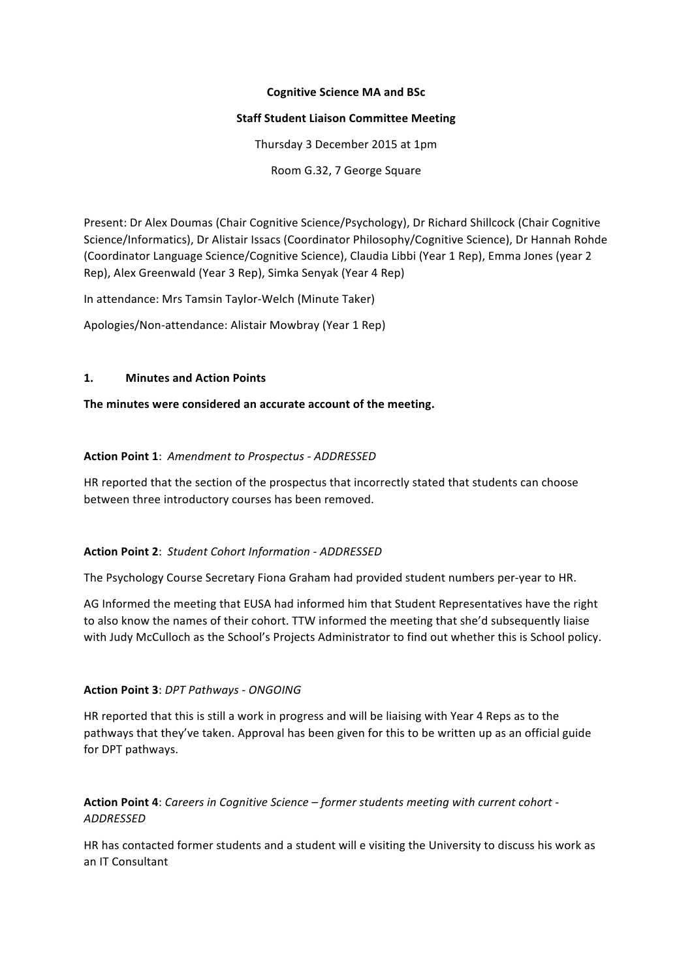#### **Cognitive Science MA and BSc**

#### **Staff Student Liaison Committee Meeting**

Thursday 3 December 2015 at 1pm

Room G.32, 7 George Square

Present: Dr Alex Doumas (Chair Cognitive Science/Psychology), Dr Richard Shillcock (Chair Cognitive Science/Informatics), Dr Alistair Issacs (Coordinator Philosophy/Cognitive Science), Dr Hannah Rohde (Coordinator Language Science/Cognitive Science), Claudia Libbi (Year 1 Rep), Emma Jones (year 2 Rep), Alex Greenwald (Year 3 Rep), Simka Senyak (Year 4 Rep)

In attendance: Mrs Tamsin Taylor-Welch (Minute Taker)

Apologies/Non-attendance: Alistair Mowbray (Year 1 Rep)

#### **1. Minutes and Action Points**

The minutes were considered an accurate account of the meeting.

#### **Action Point 1**: *Amendment to Prospectus - ADDRESSED*

HR reported that the section of the prospectus that incorrectly stated that students can choose between three introductory courses has been removed.

#### **Action Point 2**: *Student Cohort Information - ADDRESSED*

The Psychology Course Secretary Fiona Graham had provided student numbers per-year to HR.

AG Informed the meeting that EUSA had informed him that Student Representatives have the right to also know the names of their cohort. TTW informed the meeting that she'd subsequently liaise with Judy McCulloch as the School's Projects Administrator to find out whether this is School policy.

#### **Action Point 3**: *DPT Pathways - ONGOING*

HR reported that this is still a work in progress and will be liaising with Year 4 Reps as to the pathways that they've taken. Approval has been given for this to be written up as an official guide for DPT pathways.

**Action Point 4**: Careers in Cognitive Science – former students meeting with current cohort -*ADDRESSED*

HR has contacted former students and a student will e visiting the University to discuss his work as an IT Consultant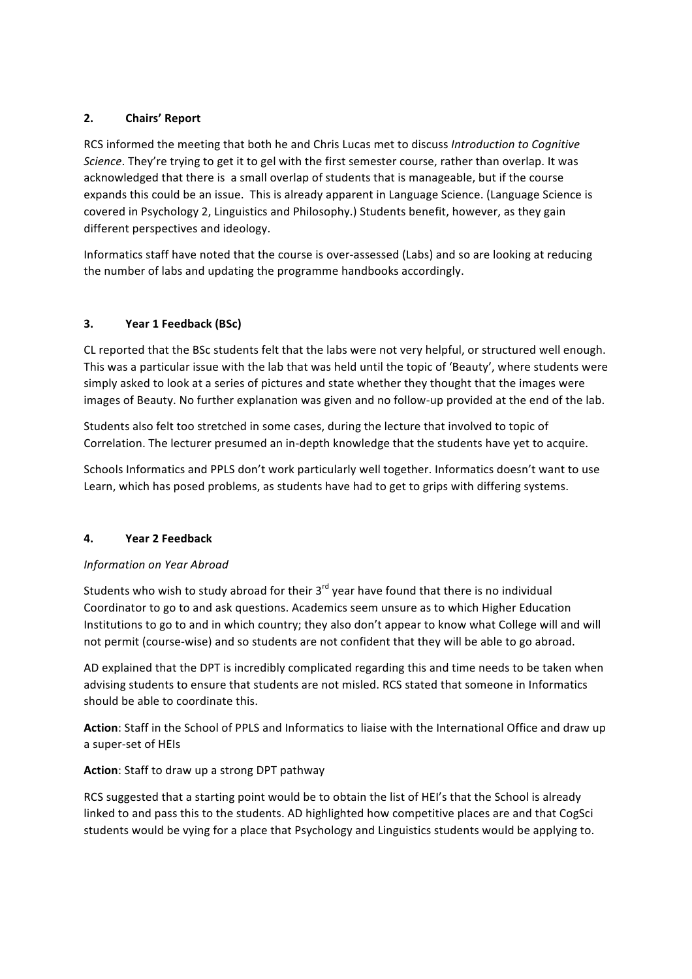# **2. Chairs' Report**

RCS informed the meeting that both he and Chris Lucas met to discuss *Introduction to Cognitive Science*. They're trying to get it to gel with the first semester course, rather than overlap. It was acknowledged that there is a small overlap of students that is manageable, but if the course expands this could be an issue. This is already apparent in Language Science. (Language Science is covered in Psychology 2, Linguistics and Philosophy.) Students benefit, however, as they gain different perspectives and ideology.

Informatics staff have noted that the course is over-assessed (Labs) and so are looking at reducing the number of labs and updating the programme handbooks accordingly.

## **3. Year 1 Feedback (BSc)**

CL reported that the BSc students felt that the labs were not very helpful, or structured well enough. This was a particular issue with the lab that was held until the topic of 'Beauty', where students were simply asked to look at a series of pictures and state whether they thought that the images were images of Beauty. No further explanation was given and no follow-up provided at the end of the lab.

Students also felt too stretched in some cases, during the lecture that involved to topic of Correlation. The lecturer presumed an in-depth knowledge that the students have yet to acquire.

Schools Informatics and PPLS don't work particularly well together. Informatics doesn't want to use Learn, which has posed problems, as students have had to get to grips with differing systems.

## **4. Year 2 Feedback**

## *Information on Year Abroad*

Students who wish to study abroad for their  $3^{rd}$  year have found that there is no individual Coordinator to go to and ask questions. Academics seem unsure as to which Higher Education Institutions to go to and in which country; they also don't appear to know what College will and will not permit (course-wise) and so students are not confident that they will be able to go abroad.

AD explained that the DPT is incredibly complicated regarding this and time needs to be taken when advising students to ensure that students are not misled. RCS stated that someone in Informatics should be able to coordinate this.

Action: Staff in the School of PPLS and Informatics to liaise with the International Office and draw up a super-set of HEIs

## **Action**: Staff to draw up a strong DPT pathway

RCS suggested that a starting point would be to obtain the list of HEI's that the School is already linked to and pass this to the students. AD highlighted how competitive places are and that CogSci students would be vying for a place that Psychology and Linguistics students would be applying to.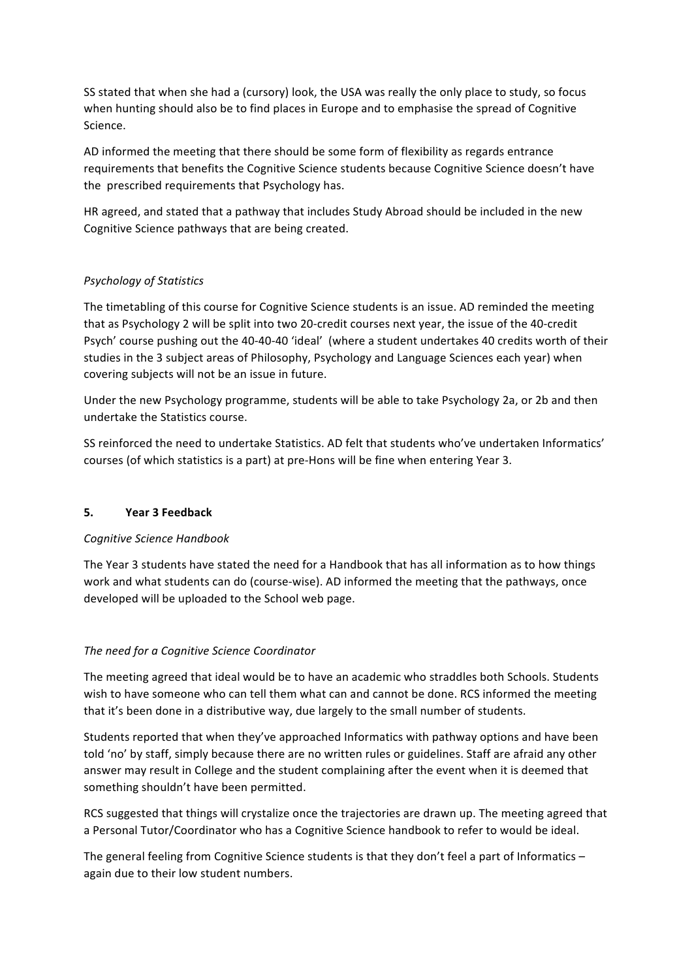SS stated that when she had a (cursory) look, the USA was really the only place to study, so focus when hunting should also be to find places in Europe and to emphasise the spread of Cognitive Science.

AD informed the meeting that there should be some form of flexibility as regards entrance requirements that benefits the Cognitive Science students because Cognitive Science doesn't have the prescribed requirements that Psychology has.

HR agreed, and stated that a pathway that includes Study Abroad should be included in the new Cognitive Science pathways that are being created.

## *Psychology of Statistics*

The timetabling of this course for Cognitive Science students is an issue. AD reminded the meeting that as Psychology 2 will be split into two 20-credit courses next year, the issue of the 40-credit Psych' course pushing out the 40-40-40 'ideal' (where a student undertakes 40 credits worth of their studies in the 3 subject areas of Philosophy, Psychology and Language Sciences each year) when covering subjects will not be an issue in future.

Under the new Psychology programme, students will be able to take Psychology 2a, or 2b and then undertake the Statistics course.

SS reinforced the need to undertake Statistics. AD felt that students who've undertaken Informatics' courses (of which statistics is a part) at pre-Hons will be fine when entering Year 3.

#### **5. Year 3 Feedback**

#### *Cognitive Science Handbook*

The Year 3 students have stated the need for a Handbook that has all information as to how things work and what students can do (course-wise). AD informed the meeting that the pathways, once developed will be uploaded to the School web page.

#### *The need for a Cognitive Science Coordinator*

The meeting agreed that ideal would be to have an academic who straddles both Schools. Students wish to have someone who can tell them what can and cannot be done. RCS informed the meeting that it's been done in a distributive way, due largely to the small number of students.

Students reported that when they've approached Informatics with pathway options and have been told 'no' by staff, simply because there are no written rules or guidelines. Staff are afraid any other answer may result in College and the student complaining after the event when it is deemed that something shouldn't have been permitted.

RCS suggested that things will crystalize once the trajectories are drawn up. The meeting agreed that a Personal Tutor/Coordinator who has a Cognitive Science handbook to refer to would be ideal.

The general feeling from Cognitive Science students is that they don't feel a part of Informatics  $$ again due to their low student numbers.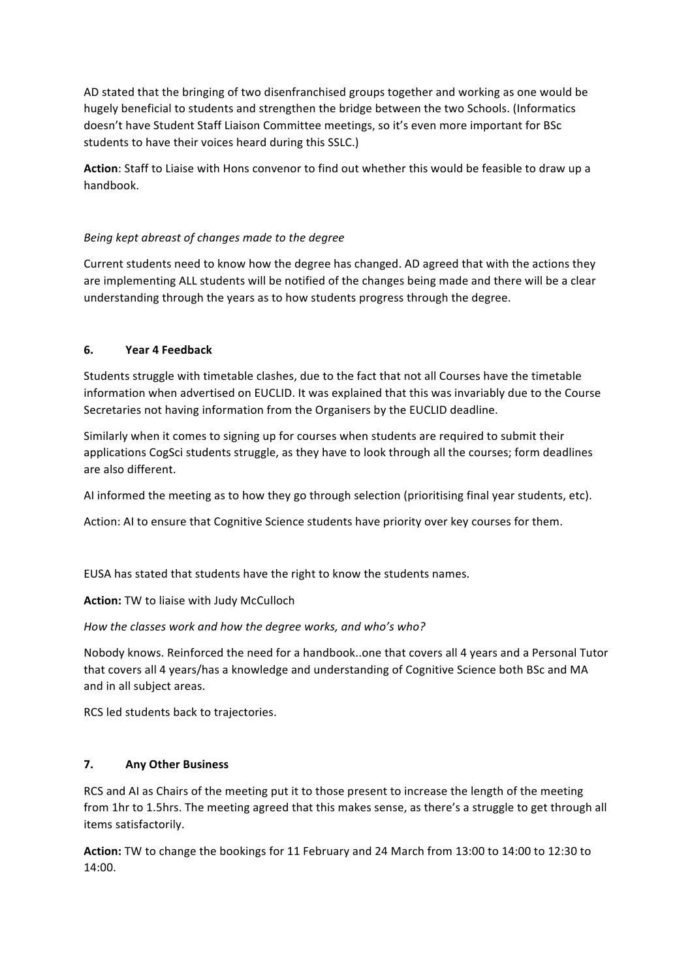AD stated that the bringing of two disenfranchised groups together and working as one would be hugely beneficial to students and strengthen the bridge between the two Schools. (Informatics doesn't have Student Staff Liaison Committee meetings, so it's even more important for BSc students to have their voices heard during this SSLC.)

Action: Staff to Liaise with Hons convenor to find out whether this would be feasible to draw up a handbook. 

## *Being kept abreast of changes made to the degree*

Current students need to know how the degree has changed. AD agreed that with the actions they are implementing ALL students will be notified of the changes being made and there will be a clear understanding through the years as to how students progress through the degree.

# **6. Year 4 Feedback**

Students struggle with timetable clashes, due to the fact that not all Courses have the timetable information when advertised on EUCLID. It was explained that this was invariably due to the Course Secretaries not having information from the Organisers by the EUCLID deadline.

Similarly when it comes to signing up for courses when students are required to submit their applications CogSci students struggle, as they have to look through all the courses; form deadlines are also different.

AI informed the meeting as to how they go through selection (prioritising final year students, etc).

Action: AI to ensure that Cognitive Science students have priority over key courses for them.

EUSA has stated that students have the right to know the students names.

**Action:** TW to liaise with Judy McCulloch

How the classes work and how the degree works, and who's who?

Nobody knows. Reinforced the need for a handbook..one that covers all 4 years and a Personal Tutor that covers all 4 years/has a knowledge and understanding of Cognitive Science both BSc and MA and in all subject areas.

RCS led students back to trajectories.

## **7. Any Other Business**

RCS and AI as Chairs of the meeting put it to those present to increase the length of the meeting from 1hr to 1.5hrs. The meeting agreed that this makes sense, as there's a struggle to get through all items satisfactorily.

**Action:** TW to change the bookings for 11 February and 24 March from 13:00 to 14:00 to 12:30 to 14:00.